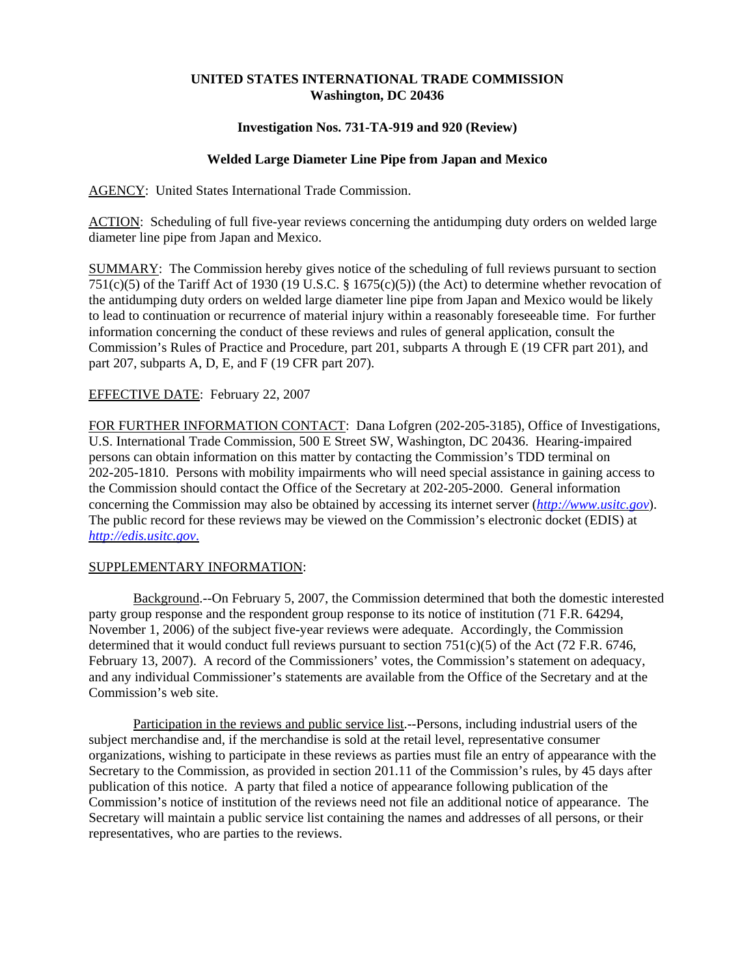# **UNITED STATES INTERNATIONAL TRADE COMMISSION Washington, DC 20436**

## **Investigation Nos. 731-TA-919 and 920 (Review)**

# **Welded Large Diameter Line Pipe from Japan and Mexico**

AGENCY: United States International Trade Commission.

ACTION: Scheduling of full five-year reviews concerning the antidumping duty orders on welded large diameter line pipe from Japan and Mexico.

SUMMARY: The Commission hereby gives notice of the scheduling of full reviews pursuant to section 751(c)(5) of the Tariff Act of 1930 (19 U.S.C. § 1675(c)(5)) (the Act) to determine whether revocation of the antidumping duty orders on welded large diameter line pipe from Japan and Mexico would be likely to lead to continuation or recurrence of material injury within a reasonably foreseeable time. For further information concerning the conduct of these reviews and rules of general application, consult the Commission's Rules of Practice and Procedure, part 201, subparts A through E (19 CFR part 201), and part 207, subparts A, D, E, and F (19 CFR part 207).

## EFFECTIVE DATE: February 22, 2007

FOR FURTHER INFORMATION CONTACT: Dana Lofgren (202-205-3185), Office of Investigations, U.S. International Trade Commission, 500 E Street SW, Washington, DC 20436. Hearing-impaired persons can obtain information on this matter by contacting the Commission's TDD terminal on 202-205-1810. Persons with mobility impairments who will need special assistance in gaining access to the Commission should contact the Office of the Secretary at 202-205-2000. General information concerning the Commission may also be obtained by accessing its internet server (*http://www.usitc.gov*). The public record for these reviews may be viewed on the Commission's electronic docket (EDIS) at *http://edis.usitc.gov*.

#### SUPPLEMENTARY INFORMATION:

Background.--On February 5, 2007, the Commission determined that both the domestic interested party group response and the respondent group response to its notice of institution (71 F.R. 64294, November 1, 2006) of the subject five-year reviews were adequate. Accordingly, the Commission determined that it would conduct full reviews pursuant to section 751(c)(5) of the Act (72 F.R. 6746, February 13, 2007). A record of the Commissioners' votes, the Commission's statement on adequacy, and any individual Commissioner's statements are available from the Office of the Secretary and at the Commission's web site.

Participation in the reviews and public service list.--Persons, including industrial users of the subject merchandise and, if the merchandise is sold at the retail level, representative consumer organizations, wishing to participate in these reviews as parties must file an entry of appearance with the Secretary to the Commission, as provided in section 201.11 of the Commission's rules, by 45 days after publication of this notice. A party that filed a notice of appearance following publication of the Commission's notice of institution of the reviews need not file an additional notice of appearance. The Secretary will maintain a public service list containing the names and addresses of all persons, or their representatives, who are parties to the reviews.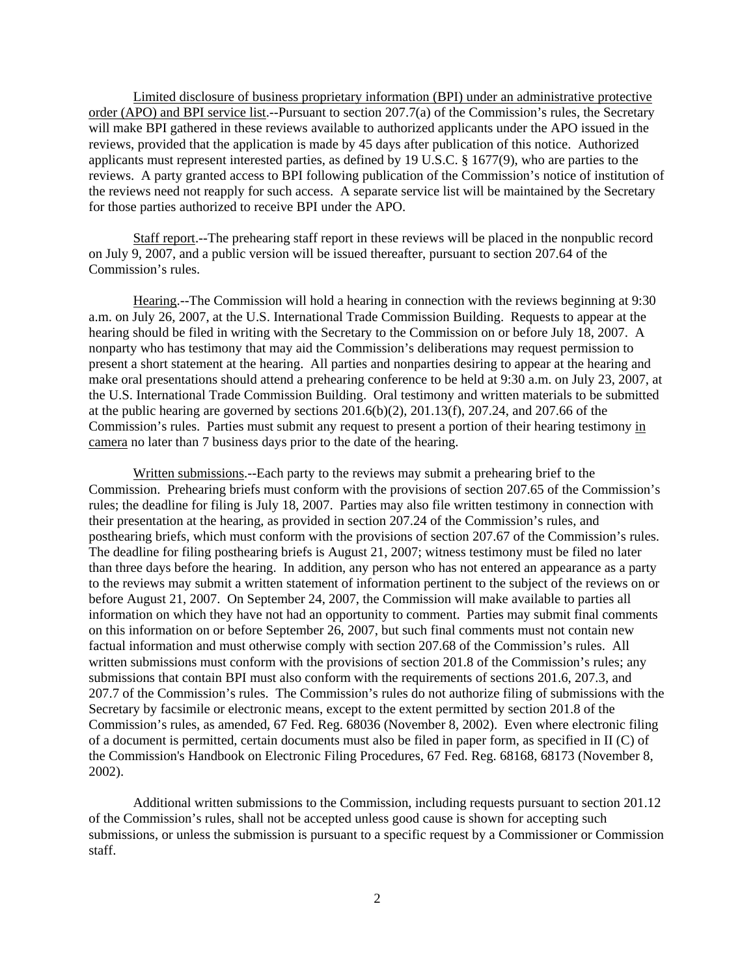Limited disclosure of business proprietary information (BPI) under an administrative protective order (APO) and BPI service list.--Pursuant to section 207.7(a) of the Commission's rules, the Secretary will make BPI gathered in these reviews available to authorized applicants under the APO issued in the reviews, provided that the application is made by 45 days after publication of this notice. Authorized applicants must represent interested parties, as defined by 19 U.S.C. § 1677(9), who are parties to the reviews. A party granted access to BPI following publication of the Commission's notice of institution of the reviews need not reapply for such access. A separate service list will be maintained by the Secretary for those parties authorized to receive BPI under the APO.

Staff report.--The prehearing staff report in these reviews will be placed in the nonpublic record on July 9, 2007, and a public version will be issued thereafter, pursuant to section 207.64 of the Commission's rules.

Hearing.--The Commission will hold a hearing in connection with the reviews beginning at 9:30 a.m. on July 26, 2007, at the U.S. International Trade Commission Building. Requests to appear at the hearing should be filed in writing with the Secretary to the Commission on or before July 18, 2007. A nonparty who has testimony that may aid the Commission's deliberations may request permission to present a short statement at the hearing. All parties and nonparties desiring to appear at the hearing and make oral presentations should attend a prehearing conference to be held at 9:30 a.m. on July 23, 2007, at the U.S. International Trade Commission Building. Oral testimony and written materials to be submitted at the public hearing are governed by sections 201.6(b)(2), 201.13(f), 207.24, and 207.66 of the Commission's rules. Parties must submit any request to present a portion of their hearing testimony in camera no later than 7 business days prior to the date of the hearing.

Written submissions.--Each party to the reviews may submit a prehearing brief to the Commission. Prehearing briefs must conform with the provisions of section 207.65 of the Commission's rules; the deadline for filing is July 18, 2007. Parties may also file written testimony in connection with their presentation at the hearing, as provided in section 207.24 of the Commission's rules, and posthearing briefs, which must conform with the provisions of section 207.67 of the Commission's rules. The deadline for filing posthearing briefs is August 21, 2007; witness testimony must be filed no later than three days before the hearing. In addition, any person who has not entered an appearance as a party to the reviews may submit a written statement of information pertinent to the subject of the reviews on or before August 21, 2007. On September 24, 2007, the Commission will make available to parties all information on which they have not had an opportunity to comment. Parties may submit final comments on this information on or before September 26, 2007, but such final comments must not contain new factual information and must otherwise comply with section 207.68 of the Commission's rules. All written submissions must conform with the provisions of section 201.8 of the Commission's rules; any submissions that contain BPI must also conform with the requirements of sections 201.6, 207.3, and 207.7 of the Commission's rules. The Commission's rules do not authorize filing of submissions with the Secretary by facsimile or electronic means, except to the extent permitted by section 201.8 of the Commission's rules, as amended, 67 Fed. Reg. 68036 (November 8, 2002). Even where electronic filing of a document is permitted, certain documents must also be filed in paper form, as specified in II (C) of the Commission's Handbook on Electronic Filing Procedures, 67 Fed. Reg. 68168, 68173 (November 8, 2002).

Additional written submissions to the Commission, including requests pursuant to section 201.12 of the Commission's rules, shall not be accepted unless good cause is shown for accepting such submissions, or unless the submission is pursuant to a specific request by a Commissioner or Commission staff.